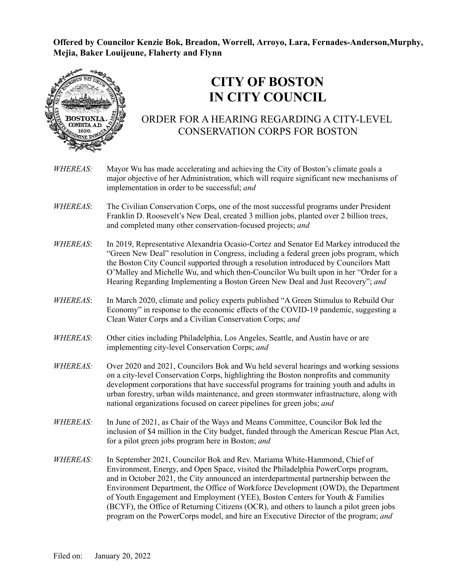**Offered by Councilor Kenzie Bok, Breadon, Worrell, Arroyo, Lara, Fernades-Anderson,Murphy, Mejia, Baker Louijeune, Flaherty and Flynn**



## **CITY OF BOSTON IN CITY COUNCIL**

## ORDER FOR A HEARING REGARDING A CITY-LEVEL CONSERVATION CORPS FOR BOSTON

- *WHEREAS:* Mayor Wu has made accelerating and achieving the City of Boston's climate goals a major objective of her Administration, which will require significant new mechanisms of implementation in order to be successful; *and*
- *WHEREAS*: The Civilian Conservation Corps, one of the most successful programs under President Franklin D. Roosevelt's New Deal, created 3 million jobs, planted over 2 billion trees, and completed many other conservation-focused projects; *and*
- *WHEREAS*: In 2019, Representative Alexandria Ocasio-Cortez and Senator Ed Markey introduced the "Green New Deal" resolution in Congress, including a federal green jobs program, which the Boston City Council supported through a resolution introduced by Councilors Matt O'Malley and Michelle Wu, and which then-Councilor Wu built upon in her "Order for a Hearing Regarding Implementing a Boston Green New Deal and Just Recovery"; *and*
- *WHEREAS*: In March 2020, climate and policy experts published "A Green Stimulus to Rebuild Our Economy" in response to the economic effects of the COVID-19 pandemic, suggesting a Clean Water Corps and a Civilian Conservation Corps; *and*
- *WHEREAS*: Other cities including Philadelphia, Los Angeles, Seattle, and Austin have or are implementing city-level Conservation Corps; *and*
- *WHEREAS:* Over 2020 and 2021, Councilors Bok and Wu held several hearings and working sessions on a city-level Conservation Corps, highlighting the Boston nonprofits and community development corporations that have successful programs for training youth and adults in urban forestry, urban wilds maintenance, and green stormwater infrastructure, along with national organizations focused on career pipelines for green jobs; *and*
- *WHEREAS:* In June of 2021, as Chair of the Ways and Means Committee, Councilor Bok led the inclusion of \$4 million in the City budget, funded through the American Rescue Plan Act, for a pilot green jobs program here in Boston; *and*
- *WHEREAS:* In September 2021, Councilor Bok and Rev. Mariama White-Hammond, Chief of Environment, Energy, and Open Space, visited the Philadelphia PowerCorps program, and in October 2021, the City announced an interdepartmental partnership between the Environment Department, the Office of Workforce Development (OWD), the Department of Youth Engagement and Employment (YEE), Boston Centers for Youth & Families (BCYF), the Office of Returning Citizens (OCR), and others to launch a pilot green jobs program on the PowerCorps model, and hire an Executive Director of the program; *and*